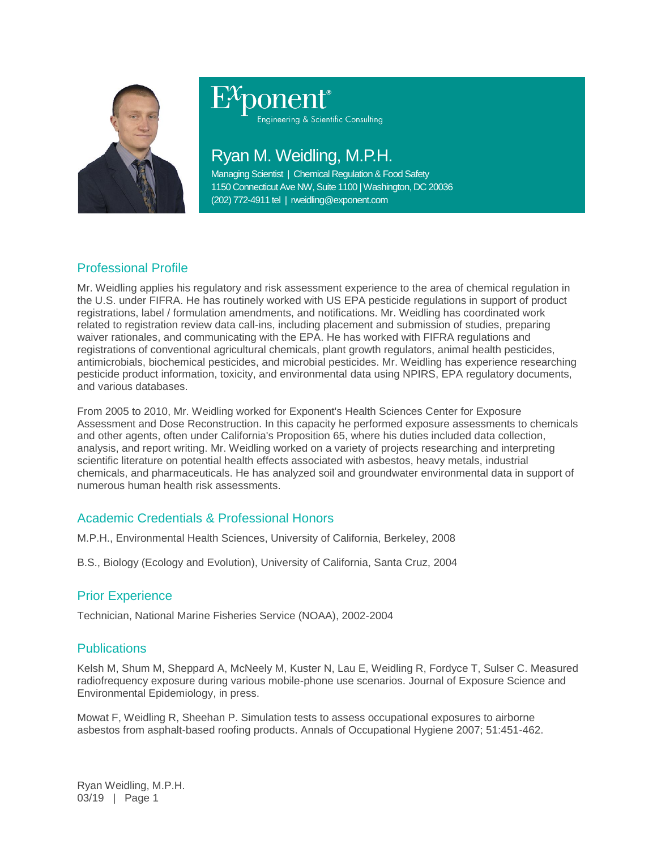

Engineering & Scientific Consulting

# Ryan M. Weidling, M.P.H.

Managing Scientist | Chemical Regulation & Food Safety 1150 Connecticut Ave NW, Suite 1100 | Washington, DC 20036 (202) 772-4911 tel | rweidling@exponent.com

# Professional Profile

Mr. Weidling applies his regulatory and risk assessment experience to the area of chemical regulation in the U.S. under FIFRA. He has routinely worked with US EPA pesticide regulations in support of product registrations, label / formulation amendments, and notifications. Mr. Weidling has coordinated work related to registration review data call-ins, including placement and submission of studies, preparing waiver rationales, and communicating with the EPA. He has worked with FIFRA regulations and registrations of conventional agricultural chemicals, plant growth regulators, animal health pesticides, antimicrobials, biochemical pesticides, and microbial pesticides. Mr. Weidling has experience researching pesticide product information, toxicity, and environmental data using NPIRS, EPA regulatory documents, and various databases.

From 2005 to 2010, Mr. Weidling worked for Exponent's Health Sciences Center for Exposure Assessment and Dose Reconstruction. In this capacity he performed exposure assessments to chemicals and other agents, often under California's Proposition 65, where his duties included data collection, analysis, and report writing. Mr. Weidling worked on a variety of projects researching and interpreting scientific literature on potential health effects associated with asbestos, heavy metals, industrial chemicals, and pharmaceuticals. He has analyzed soil and groundwater environmental data in support of numerous human health risk assessments.

# Academic Credentials & Professional Honors

M.P.H., Environmental Health Sciences, University of California, Berkeley, 2008

B.S., Biology (Ecology and Evolution), University of California, Santa Cruz, 2004

## Prior Experience

Technician, National Marine Fisheries Service (NOAA), 2002-2004

## **Publications**

Kelsh M, Shum M, Sheppard A, McNeely M, Kuster N, Lau E, Weidling R, Fordyce T, Sulser C. Measured radiofrequency exposure during various mobile-phone use scenarios. Journal of Exposure Science and Environmental Epidemiology, in press.

Mowat F, Weidling R, Sheehan P. Simulation tests to assess occupational exposures to airborne asbestos from asphalt-based roofing products. Annals of Occupational Hygiene 2007; 51:451-462.